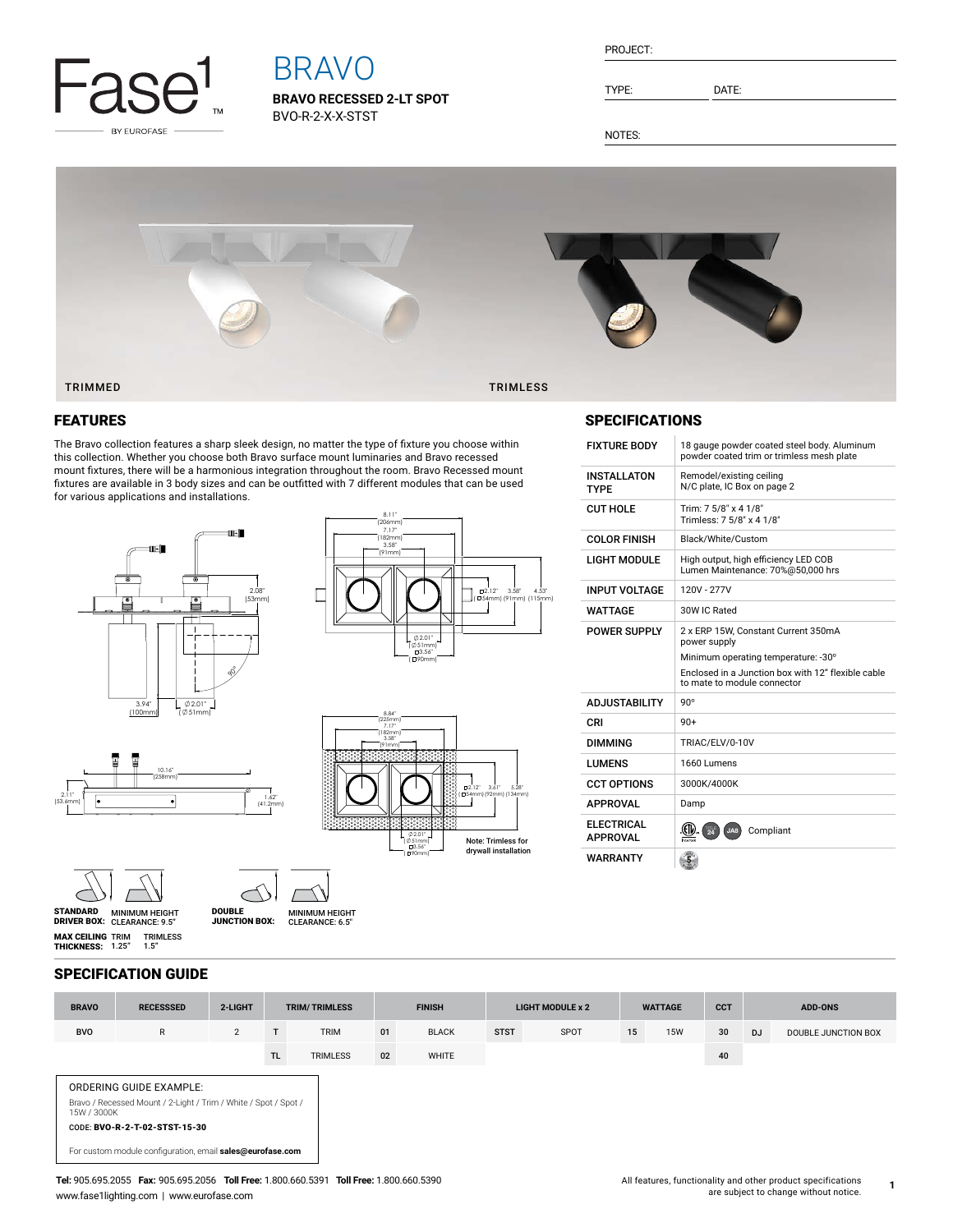

# BRAVO

**BRAVO RECESSED 2-LT SPOT** BVO-R-2-X-X-STST

| PROJECT: |
|----------|
|----------|

TYPE: DATE:

NOTES:



### FEATURES

The Bravo collection features a sharp sleek design, no matter the type of fixture you choose within this collection. Whether you choose both Bravo surface mount luminaries and Bravo recessed mount fixtures, there will be a harmonious integration throughout the room. Bravo Recessed mount fixtures are available in 3 body sizes and can be outfitted with 7 different modules that can be used for various applications and installations.







## SPECIFICATIONS

| <b>FIXTURE BODY</b>               | 18 gauge powder coated steel body. Aluminum<br>powder coated trim or trimless mesh plate   |  |  |  |  |  |  |  |
|-----------------------------------|--------------------------------------------------------------------------------------------|--|--|--|--|--|--|--|
| <b>INSTALLATON</b><br><b>TYPF</b> | Remodel/existing ceiling<br>N/C plate, IC Box on page 2                                    |  |  |  |  |  |  |  |
| CUT HOLF                          | Trim: 7 5/8" x 4 1/8"<br>Trimless: 7 5/8" x 4 1/8"                                         |  |  |  |  |  |  |  |
| <b>COLOR FINISH</b>               | Black/White/Custom                                                                         |  |  |  |  |  |  |  |
| <b>LIGHT MODULE</b>               | High output, high efficiency LED COB<br>Lumen Maintenance: 70%@50.000 hrs                  |  |  |  |  |  |  |  |
| <b>INPUT VOLTAGE</b>              | 120V - 277V                                                                                |  |  |  |  |  |  |  |
| <b>WATTAGF</b>                    | 30W IC Rated                                                                               |  |  |  |  |  |  |  |
| <b>POWER SUPPLY</b>               | 2 x ERP 15W, Constant Current 350mA<br>power supply<br>Minimum operating temperature: -30° |  |  |  |  |  |  |  |
|                                   |                                                                                            |  |  |  |  |  |  |  |
|                                   | Enclosed in a Junction box with 12" flexible cable<br>to mate to module connector          |  |  |  |  |  |  |  |
| <b>ADJUSTABILITY</b>              | $90^\circ$                                                                                 |  |  |  |  |  |  |  |
| CRI                               | $90+$                                                                                      |  |  |  |  |  |  |  |
| <b>DIMMING</b>                    | TRIAC/ELV/0-10V                                                                            |  |  |  |  |  |  |  |
| <b>I UMFNS</b>                    | 1660 Lumens                                                                                |  |  |  |  |  |  |  |
| <b>CCT OPTIONS</b>                | 3000K/4000K                                                                                |  |  |  |  |  |  |  |
| <b>APPROVAL</b>                   | Damp                                                                                       |  |  |  |  |  |  |  |
| FI FCTRICAL<br><b>APPROVAL</b>    | Compliant<br>$24^{15}$<br>JA8<br>Intertei                                                  |  |  |  |  |  |  |  |

#### 10.16" (258mm)  $\frac{1}{1}$  $(4)$ 2.11" (53.6mm)





MINIMUM HEIGHT CLEARANCE: 9.5" STANDARD DRIVER BOX: MINIMUM HEIGHT **MAX CEILING** TRIM<br>**Thickness:** 1.25" TRIMLESS 1.5"

DOUBLE JUNCTION BOX:

#### SPECIFICATION GUIDE

| <b>BRAVO</b> | <b>RECESSSED</b>                                                                           | 2-LIGHT        | <b>TRIM/TRIMLESS</b> |                 | <b>FINISH</b> |              | <b>LIGHT MODULE x 2</b> |      | <b>WATTAGE</b> |            | <b>CCT</b> | <b>ADD-ONS</b> |                     |
|--------------|--------------------------------------------------------------------------------------------|----------------|----------------------|-----------------|---------------|--------------|-------------------------|------|----------------|------------|------------|----------------|---------------------|
| <b>BVO</b>   | $\mathsf{R}$                                                                               | $\overline{2}$ | T                    | <b>TRIM</b>     | 01            | <b>BLACK</b> | <b>STST</b>             | SPOT | 15             | <b>15W</b> | 30         | <b>DJ</b>      | DOUBLE JUNCTION BOX |
|              |                                                                                            |                | TL.                  | <b>TRIMLESS</b> | 02            | WHITE        |                         |      |                |            | 40         |                |                     |
| 15W / 3000K  | ORDERING GUIDE EXAMPLE:<br>Bravo / Recessed Mount / 2-Light / Trim / White / Spot / Spot / |                |                      |                 |               |              |                         |      |                |            |            |                |                     |
|              | CODE: BVO-R-2-T-02-STST-15-30<br>For custom module configuration, email sales@eurofase.com |                |                      |                 |               |              |                         |      |                |            |            |                |                     |

**1**